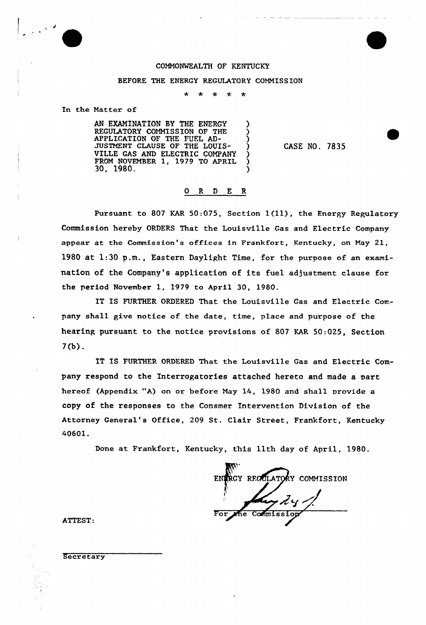## COMMONMEALTH OF KENTUCKY

## BEFORE THE ENERGY REGULATORY COMMISSION

 $\star$  $\star$  $\star$ 

In the Matter of

AN EXAMINATION BY THE ENERGY REGULATORY COMMISSION OF THE APPLICATION OF THE FUEL AD-<br>HET GULLER OF THE LOUIS JUSTMENT CLAUSE OF THE LOUIS-<br>WILLE GAO AND DIEGERIC COUPANY VILLE GAS AND ELECTRIC COMPANY FROM NOVEMBER 1, 1979 TO APRIL 30, 1980. )

CASE NO. 7835

## 0 <sup>R</sup> <sup>D</sup> E R

Pursuant to 807 KAR 50:075, Section 1(11), the Energy Regulatory Commission hereby ORDERS That the Louisville Gas and Electric Company appear at the Commission's offices in Frankfort, Kentucky, on May 21, 1980 at 1:30 p.m., Eastern Daylight Time, for the purpose of an examination of the Company's application of its fuel adjustment clause for the period November 1, 1979 to April 30, 1980.

IT IS FURTHER ORDERED That the Louisville Gas and Electric Company shall give notice of the date, time, place and purpose of the hearing pursuant to the notice provisions of 807 KAR 50:025, Section 7(b) .

IT IS FURTHER ORDERED That the Louisville Gas and Electric Company respond to the Interrogatories attached hereto and made a part hereof (Appendix "A) on or before May 14, 1980 and shall provide a copy of the responses to the Consmer Intervention Division of the Attorney General's Office, 209 St. Clair Street, Frankfort, Kentucky 40601.

Done at Frankfort, Kentucky, this 11th day of April, 1980.

RGY REGULATORY COMMISSION fi Commission For the COlfiltlI SERIO

ATTEST:

**Secretary**